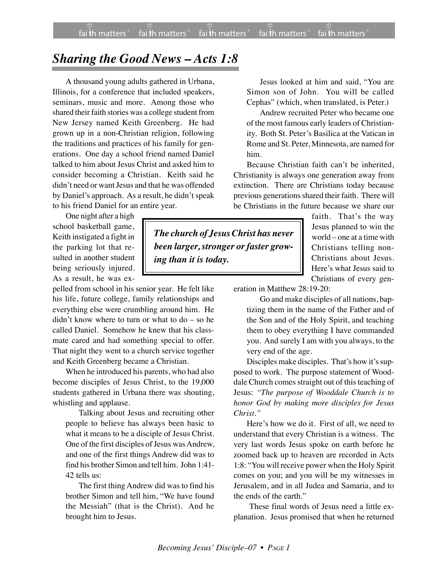## *Sharing the Good News – Acts 1:8*

A thousand young adults gathered in Urbana, Illinois, for a conference that included speakers, seminars, music and more. Among those who shared their faith stories was a college student from New Jersey named Keith Greenberg. He had grown up in a non-Christian religion, following the traditions and practices of his family for generations. One day a school friend named Daniel talked to him about Jesus Christ and asked him to consider becoming a Christian. Keith said he didn't need or want Jesus and that he was offended by Daniel's approach. As a result, he didn't speak to his friend Daniel for an entire year.

One night after a high school basketball game, Keith instigated a fight in the parking lot that resulted in another student being seriously injured. As a result, he was ex-

pelled from school in his senior year. He felt like his life, future college, family relationships and everything else were crumbling around him. He didn't know where to turn or what to do – so he called Daniel. Somehow he knew that his classmate cared and had something special to offer. That night they went to a church service together and Keith Greenberg became a Christian.

When he introduced his parents, who had also become disciples of Jesus Christ, to the 19,000 students gathered in Urbana there was shouting, whistling and applause.

Talking about Jesus and recruiting other people to believe has always been basic to what it means to be a disciple of Jesus Christ. One of the first disciples of Jesus was Andrew, and one of the first things Andrew did was to find his brother Simon and tell him. John 1:41- 42 tells us:

The first thing Andrew did was to find his brother Simon and tell him, "We have found the Messiah" (that is the Christ). And he brought him to Jesus.

Jesus looked at him and said, "You are Simon son of John. You will be called Cephas" (which, when translated, is Peter.)

Andrew recruited Peter who became one of the most famous early leaders of Christianity. Both St. Peter's Basilica at the Vatican in Rome and St. Peter, Minnesota, are named for him.

Because Christian faith can't be inherited, Christianity is always one generation away from extinction. There are Christians today because previous generations shared their faith. There will be Christians in the future because we share our

*The church of JesusChrist has never been larger, stronger or faster growing than it is today.*

faith. That's the way Jesus planned to win the world – one at a time with Christians telling non-Christians about Jesus. Here's what Jesus said to Christians of every gen-

eration in Matthew 28:19-20:

Go and make disciples of all nations, baptizing them in the name of the Father and of the Son and of the Holy Spirit, and teaching them to obey everything I have commanded you. And surely I am with you always, to the very end of the age.

Disciples make disciples. That's how it's supposed to work. The purpose statement of Wooddale Church comes straight out of this teaching of Jesus: *"The purpose of Wooddale Church is to honor God by making more disciples for Jesus Christ."*

Here's how we do it. First of all, we need to understand that every Christian is a witness. The very last words Jesus spoke on earth before he zoomed back up to heaven are recorded in Acts 1:8: "You will receive power when the Holy Spirit comes on you; and you will be my witnesses in Jerusalem, and in all Judea and Samaria, and to the ends of the earth."

These final words of Jesus need a little explanation. Jesus promised that when he returned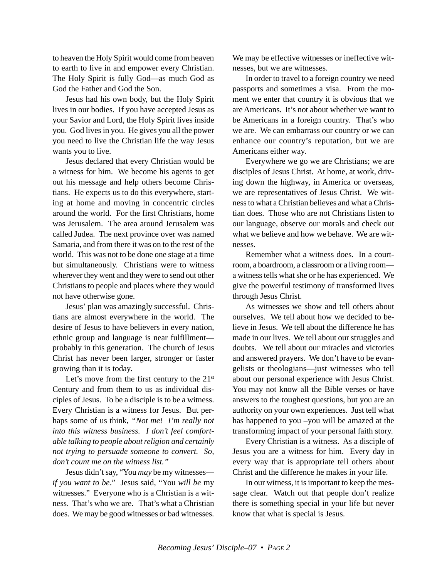to heaven the Holy Spirit would come from heaven to earth to live in and empower every Christian. The Holy Spirit is fully God—as much God as God the Father and God the Son.

Jesus had his own body, but the Holy Spirit lives in our bodies. If you have accepted Jesus as your Savior and Lord, the Holy Spirit lives inside you. God lives in you. He gives you all the power you need to live the Christian life the way Jesus wants you to live.

Jesus declared that every Christian would be a witness for him. We become his agents to get out his message and help others become Christians. He expects us to do this everywhere, starting at home and moving in concentric circles around the world. For the first Christians, home was Jerusalem. The area around Jerusalem was called Judea. The next province over was named Samaria, and from there it was on to the rest of the world. This was not to be done one stage at a time but simultaneously. Christians were to witness wherever they went and they were to send out other Christians to people and places where they would not have otherwise gone.

Jesus' plan was amazingly successful. Christians are almost everywhere in the world. The desire of Jesus to have believers in every nation, ethnic group and language is near fulfillment probably in this generation. The church of Jesus Christ has never been larger, stronger or faster growing than it is today.

Let's move from the first century to the  $21<sup>st</sup>$ Century and from them to us as individual disciples of Jesus. To be a disciple is to be a witness. Every Christian is a witness for Jesus. But perhaps some of us think, *"Not me! I'm really not into this witness business. I don't feel comfortable talking to people about religion and certainly not trying to persuade someone to convert. So, don't count me on the witness list."*

Jesus didn't say, "You *may* be my witnesses *if you want to be*." Jesus said, "You *will be* my witnesses." Everyone who is a Christian is a witness. That's who we are. That's what a Christian does. We may be good witnesses or bad witnesses. We may be effective witnesses or ineffective witnesses, but we are witnesses.

In order to travel to a foreign country we need passports and sometimes a visa. From the moment we enter that country it is obvious that we are Americans. It's not about whether we want to be Americans in a foreign country. That's who we are. We can embarrass our country or we can enhance our country's reputation, but we are Americans either way.

Everywhere we go we are Christians; we are disciples of Jesus Christ. At home, at work, driving down the highway, in America or overseas, we are representatives of Jesus Christ. We witness to what a Christian believes and what a Christian does. Those who are not Christians listen to our language, observe our morals and check out what we believe and how we behave. We are witnesses.

Remember what a witness does. In a courtroom, a boardroom, a classroom or a living room a witness tells what she or he has experienced. We give the powerful testimony of transformed lives through Jesus Christ.

As witnesses we show and tell others about ourselves. We tell about how we decided to believe in Jesus. We tell about the difference he has made in our lives. We tell about our struggles and doubts. We tell about our miracles and victories and answered prayers. We don't have to be evangelists or theologians—just witnesses who tell about our personal experience with Jesus Christ. You may not know all the Bible verses or have answers to the toughest questions, but you are an authority on your own experiences. Just tell what has happened to you –you will be amazed at the transforming impact of your personal faith story.

Every Christian is a witness. As a disciple of Jesus you are a witness for him. Every day in every way that is appropriate tell others about Christ and the difference he makes in your life.

In our witness, it is important to keep the message clear. Watch out that people don't realize there is something special in your life but never know that what is special is Jesus.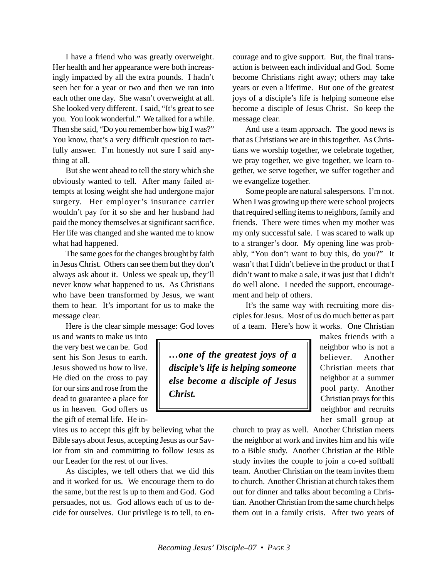I have a friend who was greatly overweight. Her health and her appearance were both increasingly impacted by all the extra pounds. I hadn't seen her for a year or two and then we ran into each other one day. She wasn't overweight at all. She looked very different. I said, "It's great to see you. You look wonderful." We talked for a while. Then she said, "Do you remember how big I was?" You know, that's a very difficult question to tactfully answer. I'm honestly not sure I said anything at all.

But she went ahead to tell the story which she obviously wanted to tell. After many failed attempts at losing weight she had undergone major surgery. Her employer's insurance carrier wouldn't pay for it so she and her husband had paid the money themselves at significant sacrifice. Her life was changed and she wanted me to know what had happened.

The same goes for the changes brought by faith in Jesus Christ. Others can see them but they don't always ask about it. Unless we speak up, they'll never know what happened to us. As Christians who have been transformed by Jesus, we want them to hear. It's important for us to make the message clear.

Here is the clear simple message: God loves

us and wants to make us into the very best we can be. God sent his Son Jesus to earth. Jesus showed us how to live. He died on the cross to pay for our sins and rose from the dead to guarantee a place for us in heaven. God offers us the gift of eternal life. He in-

vites us to accept this gift by believing what the Bible says about Jesus, accepting Jesus as our Savior from sin and committing to follow Jesus as our Leader for the rest of our lives.

As disciples, we tell others that we did this and it worked for us. We encourage them to do the same, but the rest is up to them and God. God persuades, not us. God allows each of us to decide for ourselves. Our privilege is to tell, to encourage and to give support. But, the final transaction is between each individual and God. Some become Christians right away; others may take years or even a lifetime. But one of the greatest joys of a disciple's life is helping someone else become a disciple of Jesus Christ. So keep the message clear.

And use a team approach. The good news is that as Christians we are in this together. As Christians we worship together, we celebrate together, we pray together, we give together, we learn together, we serve together, we suffer together and we evangelize together.

Some people are natural salespersons. I'm not. When I was growing up there were school projects that required selling items to neighbors, family and friends. There were times when my mother was my only successful sale. I was scared to walk up to a stranger's door. My opening line was probably, "You don't want to buy this, do you?" It wasn't that I didn't believe in the product or that I didn't want to make a sale, it was just that I didn't do well alone. I needed the support, encouragement and help of others.

It's the same way with recruiting more disciples for Jesus. Most of us do much better as part of a team. Here's how it works. One Christian

*…one of the greatest joys of a disciple's life is helping someone else become a disciple of Jesus Christ.*

makes friends with a neighbor who is not a believer. Another Christian meets that neighbor at a summer pool party. Another Christian prays for this neighbor and recruits her small group at

church to pray as well. Another Christian meets the neighbor at work and invites him and his wife to a Bible study. Another Christian at the Bible study invites the couple to join a co-ed softball team. Another Christian on the team invites them to church. Another Christian at church takes them out for dinner and talks about becoming a Christian. Another Christian from the same church helps them out in a family crisis. After two years of